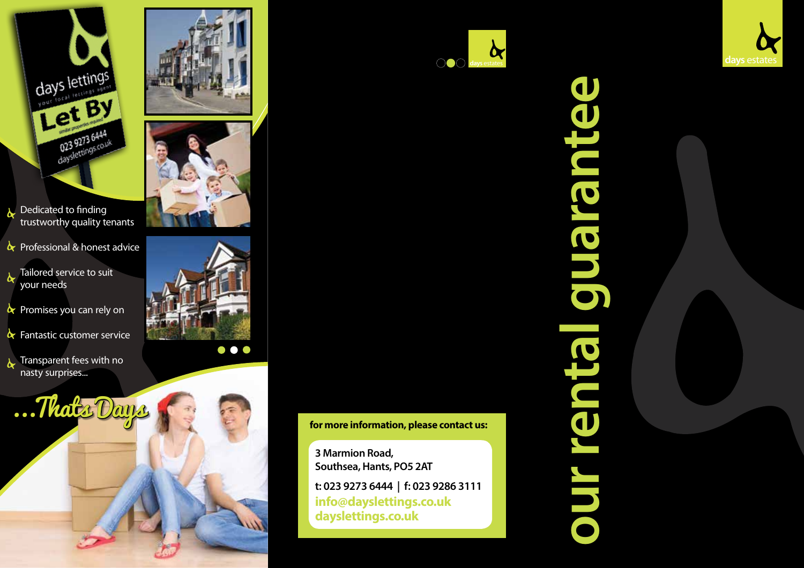

Dedicated to finding trustworthy quality tenants

 $\alpha$  Professional & honest advice

 $\lambda$  Tailored service to suit your needs

- $\lambda$  Promises you can rely on
- $\mathbf{\&}$  Fantastic customer service

Transparent fees with no nasty surprises...









**for more information, please contact us:**

**3 Marmion Road, Southsea, Hants, PO5 2AT**

**t: 023 9273 6444 | f: 023 9286 3111 info@dayslettings.co.uk dayslettings.co.uk**